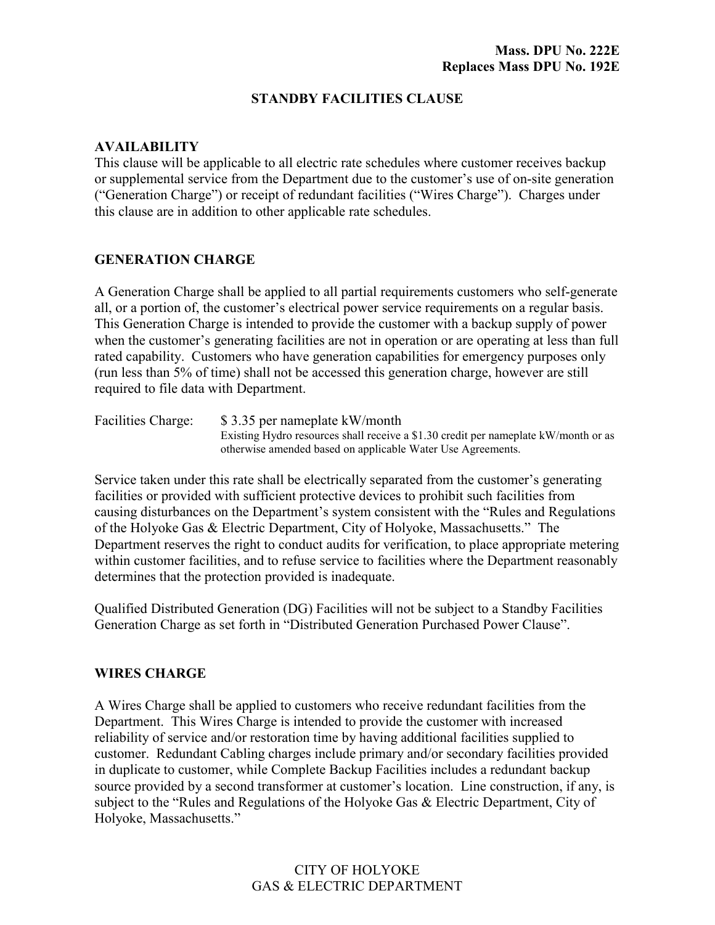## **STANDBY FACILITIES CLAUSE**

### **AVAILABILITY**

This clause will be applicable to all electric rate schedules where customer receives backup or supplemental service from the Department due to the customer's use of on-site generation ("Generation Charge") or receipt of redundant facilities ("Wires Charge"). Charges under this clause are in addition to other applicable rate schedules.

## **GENERATION CHARGE**

A Generation Charge shall be applied to all partial requirements customers who self-generate all, or a portion of, the customer's electrical power service requirements on a regular basis. This Generation Charge is intended to provide the customer with a backup supply of power when the customer's generating facilities are not in operation or are operating at less than full rated capability. Customers who have generation capabilities for emergency purposes only (run less than 5% of time) shall not be accessed this generation charge, however are still required to file data with Department.

Facilities Charge: \$3.35 per nameplate kW/month Existing Hydro resources shall receive a \$1.30 credit per nameplate kW/month or as otherwise amended based on applicable Water Use Agreements.

Service taken under this rate shall be electrically separated from the customer's generating facilities or provided with sufficient protective devices to prohibit such facilities from causing disturbances on the Department's system consistent with the "Rules and Regulations of the Holyoke Gas & Electric Department, City of Holyoke, Massachusetts." The Department reserves the right to conduct audits for verification, to place appropriate metering within customer facilities, and to refuse service to facilities where the Department reasonably determines that the protection provided is inadequate.

Qualified Distributed Generation (DG) Facilities will not be subject to a Standby Facilities Generation Charge as set forth in "Distributed Generation Purchased Power Clause".

#### **WIRES CHARGE**

A Wires Charge shall be applied to customers who receive redundant facilities from the Department. This Wires Charge is intended to provide the customer with increased reliability of service and/or restoration time by having additional facilities supplied to customer. Redundant Cabling charges include primary and/or secondary facilities provided in duplicate to customer, while Complete Backup Facilities includes a redundant backup source provided by a second transformer at customer's location. Line construction, if any, is subject to the "Rules and Regulations of the Holyoke Gas & Electric Department, City of Holyoke, Massachusetts."

# CITY OF HOLYOKE GAS & ELECTRIC DEPARTMENT